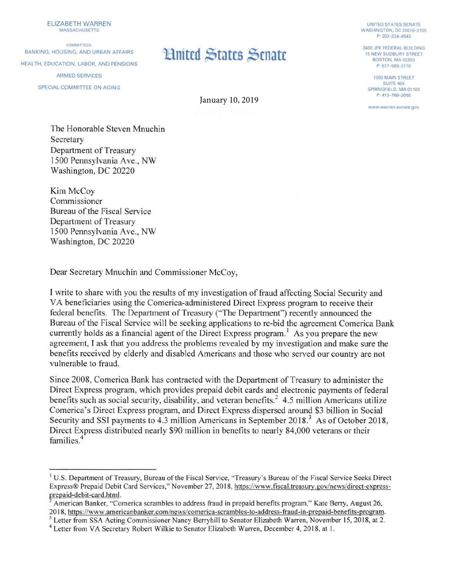ELIZABETH WARREN MASSACHUSETTS

COMMITTEES-BANKING, HOUSING, AND URBAN AFFAIRS HEALTH, EDUCATION, LABOR, AND PENSIONS ARMED SERVICES SPECIAL COMMITIEE ON AGING

## **Linited States Senate**

January 10, 2019

UNITED STATES SENATE WASHINGTON. DC 20510-2105 P: 202-224-4543

2400 JFK FEDERAL BUILDING 15 NEW SUDBURY STREET BOSTON, MA 02203 P: 617-565-3170

1550 MAIN STREET SUITE 406 SPRINGFIELD. MA 01103 P: 413-788-2690

**www.warren.senate.gov** 

The Honorable Steven Mnuchin **Secretary** Department of Treasury 1500 Pennsylvania Ave., NW Washington, DC 20220

Kim McCoy Commissioner Bureau of the Fiscal Service Department of Treasury 1500 Pennsylvania Ave., NW Washington, DC 20220

Dear Secretary Mnuchin and Commissioner McCoy,

I write to share with you the results of my investigation of fraud affecting Social Security and VA beneficiaries using the Comerica-administered Direct Express program to receive their federal benefits. The Department of Treasury ("The Department") recently announced the Bureau of the Fiscal Service will be seeking applications to re-bid the agreement Comerica Bank currently holds as a financial agent of the Direct Express program.<sup>1</sup> As you prepare the new agreement, I ask that you address the problems revealed by my investigation and make sure the benefits received by elderly and disabled Americans and those who served our country are not vulnerable to fraud.

Since 2008, Comerica Bank has contracted with the Department of Treasury to administer the Direct Express program, which provides prepaid debit cards and electronic payments of federal benefits such as social security, disability, and veteran benefits.<sup>2</sup> 4.5 million Americans utilize Comerica's Direct Express program, and Direct Express dispersed around \$3 billion in Social Security and SSI payments to 4.3 million Americans in September 2018.<sup>3</sup> As of October 2018, Direct Express distributed nearly \$90 million in benefits to nearly 84,000 veterans or their families.<sup>4</sup>

<sup>&</sup>lt;sup>1</sup> U.S. Department of Treasury, Bureau of the Fiscal Service, "Treasury's Bureau of the Fiscal Service Seeks Direct Express® Prepaid Debit Card Services," November 27, 20 18, https://www.fiscal.treasurv.gov/news/direct-express prepaid-debit-card.html.

American Banker, "Comerica scrambles to address fraud in prepaid benefits program," Kate Berry, August 26, 2018, https://www.americanbanker.com/news/comerica-scrambles-to-address-fraud-in-prepaid-benefits-program.

<sup>&</sup>lt;sup>3</sup> Letter from SSA Acting Commissioner Nancy Berryhill to Senator Elizabeth Warren, November 15, 2018, at 2. <sup>4</sup> Letter from VA Secretary Robert Wilkie to Senator Elizabeth Warren, December 4, 2018, at 1.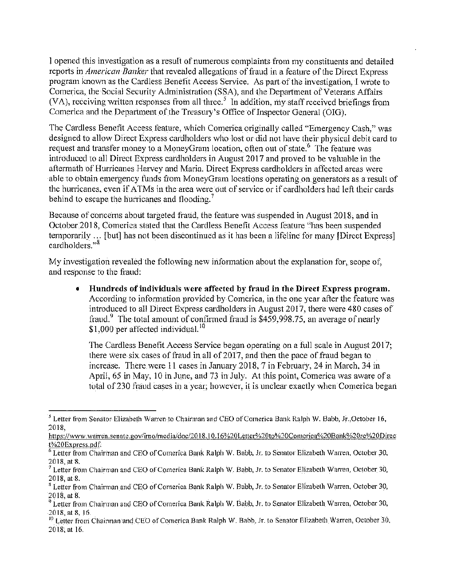I opened this investigation as a result of numerous complaints from my constituents and detailed reports in *American Banker* that revealed allegations of fraud in a feature of the Direct Express program known as the Cardless Benefit Access Service. As part of the investigation, I wrote to Comerica, the Social Security Administration (SSA), and the Department of Veterans Affairs (VA), receiving written responses from all three.<sup>5</sup> In addition, my staff received briefings from Comerica and the Department of the Treasury's Office of Inspector General (OIG).

The Cardless Benefit Access feature, which Comerica originally called "Emergency Cash," was designed to allow Direct Express cardholders who lost or did not have their physical debit card to request and transfer money to a MoneyGram location, often out of state. <sup>6</sup> The feature was introduced to all Direct Express cardholders in August 2017 and proved to be valuable in the aftermath of Hurricanes Harvey and Maria. Direct Express cardholders in affected areas were able to obtain emergency funds from MoneyGram locations operating on generators as a result of the hurricanes, even if ATMs in the area were out of service or if cardholders had left their cards behind to escape the hurricanes and flooding.<sup>7</sup>

Because of concerns about targeted fraud, the feature was suspended in August 2018, and in October 2018, Comerica stated that the Cardless Benefit Access feature "has been suspended" temporarily ... [but] has not been discontinued as it has been a lifeline for many [Direct Express] cardholders."<sup>8</sup>

My investigation revealed the following new information about the explanation for, scope of, and response to the fraud:

• **llundreds of individuals \Vere affected by fraud in the- Direct Express program.**  According to information provided by Comerica, in the one year after the feature was introduced to all Direct Express cardholders in August 2017, there were 480 cases of fraud.<sup>9</sup> The total amount of confirmed fraud is  $$459,998.75$ , an average of nearly  $$1,000$  per affected individual.<sup>10</sup>

'fhe Cardless Benefit Access Service began operating on a full scale in August 2017; there were six cases of fraud in all of 2017, and then the pace of fraud began to increase. There were  $11$  cases in January 2018, 7 in February, 24 in March, 34 in April,  $65$  in May,  $10$  in June, and  $73$  in July. At this point, Comerica was aware of a total of230 fraud cases in a year; however, it is unclear exactly when Comerica began

 $<sup>5</sup>$  Letter from Senator Elizabeth Warren to Chairman and CEO of Comerica Bank Ralph W. Babb, Jr.,October 16,</sup> 2018,

https://www.warren.senate.gov/imo/media/doc/2018.10.16%20Letter%20to%20Comerica%20Bank%20rc%20Direc t%20Express.pdf.

 $6$  Letter from Chairman and CEO of Comerica Bank Ralph W. Babb, Jr. to Senator Elizabeth Warren, October 30, 2018, at 8,<br><sup>7</sup> Letter from Chairman and CEO of Comerica Bank Ralph W. Babb, Jr. to Senator Elizabeth Warren, October 30,

<sup>2018,</sup> at 8.

<sup>&</sup>lt;sup>8</sup> Letter from Chairman and CEO of Comerica Bank Ralph W. Babb, Jr. to Senator Elizabeth Warren, October 30,

<sup>2018,</sup> at 8.<br><sup>9</sup> Letter from Chainnan and CEO of Comerica Bank Ralph W. Babb, Jr. to Senator Elizabeth Warren, October 30,

<sup>2018,</sup> at 8, 16.<br><sup>10</sup> Letter from Chairman and CEO of Comerica Bank Ralph W. Babb, Jr. to Senator Elizabeth Warren, October 30, 2018, at 16.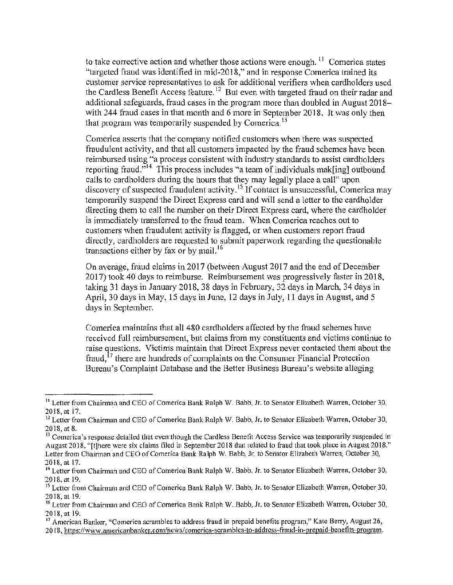to take corrective action and whether those actions were enough. <sup>11</sup> Comerica states "targeted fraud was identified in mid-2018," and in response Comerica trained its customer service representatives to ask for additional verifiers when cardholders used the Cardless Benefit Access feature.<sup>12</sup> But even with targeted fraud on their radar and additional safeguards, fraud cases in the program more than doubled in August  $2018$ with  $244$  fraud cases in that month and 6 more in September 2018. It was only then that program was temporarily suspended by Comerica.<sup>13</sup>

Comerica asserts that the company notified customers when there was suspected fraudulent activity, and that all customers impacted by the fraud schemes have been reimbursed using "a process consistent with industry standards to assist cardholders reporting fraud."<sup>14</sup> This process includes "a team of individuals mak[ing] outbound calls to cardholders during the hours that they may legally place a call" upon discovery of suspected fraudulent activity. <sup>15</sup> If contact is unsuccessful, Comerica may temporarily suspend the Direct Express card and will send a letter to the cardholder directing them to call the nwnber on their Direct Express card, where the cardholder is immediately transferred to the fraud team. When Comerica reaches out to customers when fraudulent activity is flagged, or when customers report fraud directly, cardholders are requested to submit paperwork regarding the questionable transactions either by fax or by mail.<sup>16</sup>

On average, fraud claims in 2017 (between August 2017 and the end of December  $2017$ ) took 40 days to reimburse. Reimbursement was progressively faster in 2018, taking 31 days in January 2018, 38 days in February, 32 days in March, 34 days in April, 30 days in May,  $15$  days in June,  $12$  days in July,  $11$  days in August, and  $5$ days in September.

Comerica maintains that all 480 cardholders affected by the fraud schemes have received full reimbursement, but claims from my constituents and victims continue to raise questions. Victims maintain that Direct Express never contacted them about the fraud,  $^{17}$  there are hundreds of complaints on the Consumer Financial Protection Bureau's Complaint Database and the Better Business Bureau's website alleging

<sup>&</sup>lt;sup>11</sup> Letter from Chairman and CEO of Comerica Bank Ralph W. Babb, Jr. to Senator Elizabeth Warren. October 30, 20!8, at 17.

<sup>&</sup>lt;sup>12</sup> Letter from Chairman and CEO of Comerica Bank Ralph W. Babb, Jr. to Senator Elizabeth Warren, October 30, 2018, at 8.

<sup>&</sup>lt;sup>13</sup> Comerica's response detailed that even though the Cardless Benefit Access Service was temporarily suspended in August 2018, "[t]here were six claims filed in September 2018 that related to fraud that took place in August 2018." Letter from Chairman and CEO of Comerica Bank Ralph W. Babb, Jr. to Senator Elizabeth Warren, October 30, 2018, at 17.

<sup>&</sup>lt;sup>14</sup> Letter from Chairman and CEO of Comerica Bank Ralph W. Babb, Jr. to Senator Elizabeth Warren, October 30, 2018,at19.

<sup>&</sup>lt;sup>15</sup> Letter from Chairman and CEO of Comerica Bank Ralph W. Babb, Jr. to Senator Elizabeth Warren, October 30, 2018, at 19.

<sup>&</sup>lt;sup>16</sup> Letter from Chairman and CEO of Comerica Bank Ralph W. Babb, Jr. to Senator Elizabeth Warren, October 30, 2018,at 19.

<sup>&</sup>lt;sup>17</sup> American Banker, "Comerica scrambles to address fraud in prepaid benefits program," Kate Berry, August 26,

<sup>2018,</sup> https://www.americanbanker.com/news/comerica-scrambles-to-address-fraud-in-prepaid-benefits-program.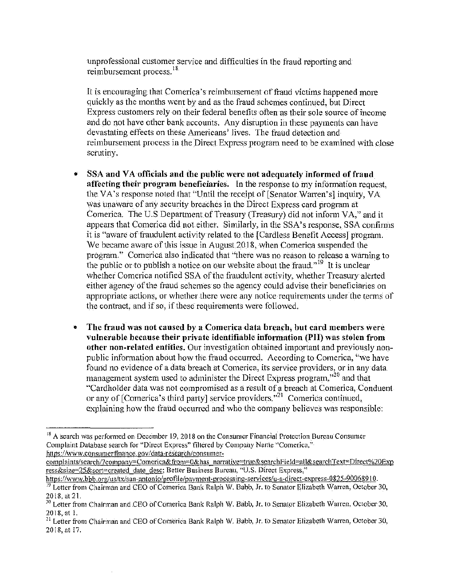unprofessional customer service and difficulties in the fraud reporting and reimbursement process.<sup>18</sup>

It is encouraging that Comerica's reimbursement of fraud victims happened more quickly as the months went by and as the fraud schemes continued, but Direct Express customers rely on their federal benefits often as their sole source of income and do not have other bank accounts. Any disruption in these payments can have devastating effects on these Americans' lives. The fraud detection and reimbursement process in the Direct Express program need to be examined with close scrutiny.

- SSA and VA officials and the public were not adequately informed of fraud affecting their program beneficiaries. In the response to my information request, the VA's response noted that "Until the receipt of [Senator Warren's] inquiry, VA was unaware of any security breaches in the Direct Express card program at Comerica. The U.S Department of Treasury (Treasury) did not inform VA," and it appears that Comerica did not either. Similarly, in the SSA's response, SSA confirms it is "aware of fraudulent activity related to the [Cardless Benefit Access] program. We became aware of this issue in August 2018, when Comerica suspended the program." Comerica also indicated that "there was no reason to release a warning to the public or to publish a notice on our website about the frand.<sup> $19$ </sup> It is unclear whether Comerica notified SSA of the fraudulent activity, whether Treasury alerted either agency of the fraud schemes so the agency could advise their beneficiaries on appropriate actions, or whether there were any notice requirements under the terms of the contract, and if so, if these requirements were followed.
- The fraud was not caused by a Comerica data breach, but card members were vulnerable because their private identifiable information (PII) was stolen from other non-related entities. Our investigation obtained important and previously nonpublic information about how the fraud occurred. According to Comerica, "we have found no evidence of a data breach at Comerica, its service providers, or in any data. management system used to administer the Direct Express program,"<sup>20</sup> and that "Cardholder data was not compromised as a result of a breach at Comerica, Conduent or any of [Comerica's third party] service providers. $^{321}$  Comerica continued, explaining how the fraud occurred and who the company believes was responsible:

 $^{18}$  A search was performed on December 19, 2018 on the Consumer Financial Protection Bureau Consumer Complaint Database search for "Direct Express" filtered by Company Name "Comerica," https://www.consumer finance.gov/data-research/consumer-

complaints/search/?company=Comerica&from=0&has narrative=true&searchField=all&searchText=Direct%20Exp ress&size=25&sort=created date desc; Better Business Bureau, "U.S. Direct Express,"

https://www.bbb.org/us/tx/san-antonio/profile/payment-processing-services/u-s-direct-express-0825-90068910. <sup>19</sup> Letter from Chairman and CEO of Comerica Bank Ralph W. Babb, Jr. to Senator Elizabeth Warren, October 30, 20!8,at21.

<sup>&</sup>lt;sup>20</sup> Letter from Chairman and CEO of Comerica Bank Ralph W. Babb, Jr. to Senator Elizabeth Warren, October 30, 2018, at 1.

<sup>&</sup>lt;sup>21</sup> Letter from Chairman and CEO of Comerica Bank Ralph W. Babb, Jr. to Senator Elizabeth Warren, October 30, 2018,at !7.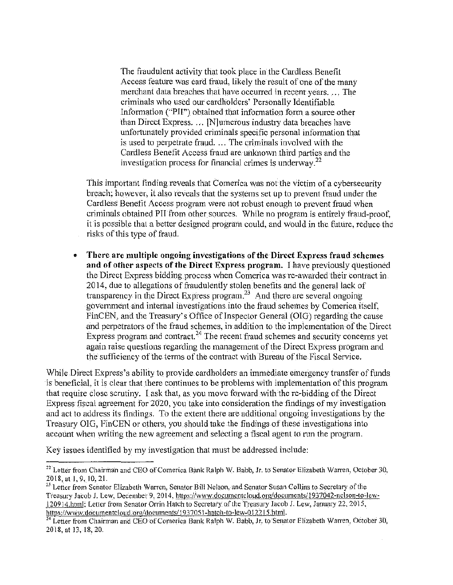The fraudulent activity that took place in the Cardless Benefit Access feature was card fraud, likely the result of one of the many inerchant data breaches that have occurred in recent years. ... The criminals who used our cardholders' Personally Identifiable Information ("PII") obtained that information form a source other than Direct Express. ... [N]umerous industry data breaches have unfortunately provided criminals specific personal information that is used to perpetrate fraud.  $\ldots$  The criminals involved with the Cardless Benefit Access fraud are unknown third parties and the investigation process for financial crimes is underway.<sup>22</sup>

This important finding reveals that Comerica was not the victim of a cybersecurity breach; however, it also reveals that the systems set up to prevent fraud under the Cardless Benefit Access program were not robust enough to prevent fraud when criminals obtained PII from other sources. While no program is entirely fraud-proof, it is possible that a better designed program could, and would in the future, reduce the risks of this type of fraud.

• There are multiple ongoing investigations of the Direct Express fraud schemes and of other aspects of the Direct Express program. I have previously questioned the Direct Express bidding process when Comerica was re-awarded their contract in 2014, due to allegations of fraudulently stolen benefits and the general lack of transparency in the Direct Express program, $^{23}$  And there are several ongoing government and internal investigations into the fraud schemes by Comerica itself, FinCEN, and the Treasury's Office of Inspector General (OIG) regarding the cause and perpetrators of the fraud schemes, in addition to the implementation of the Direct Express program and contract.<sup>24</sup> The recent fraud schemes and security concerns yet again raise questions regarding the management of the Direct Express program and the sufficiency of the terms of the contract with Bureau of the Fiscal Service.

While Direct Express's ability to provide cardholders an immediate emergency transfer of funds is beneficial, it is clear that there continues to be problems with implementation of this program that require close scrutiny. I ask that, as you 1novc forward with the re-bidding of the Direct Express fiscal agreement for 2020, you take into consideration the findings of my investigation and act to address its findings. To the extent there are additional ongoing investigations by the Treasury OIG, FinCEN or others, you should take the findings of these investigations into account when writing the new agreement and selecting a fiscal agent to run the program.

Key issues identified by my investigation that must be addressed include:

<sup>&</sup>lt;sup>22</sup> Letter from Chairman and CEO of Comerica Bank Ralph W. Babb, Jr. to Senator Elizabeth Warren, October 30. 2018, at J, 9. 10, 21.

<sup>&</sup>lt;sup>23</sup> Letter from Senator Elizabeth Warren, Senator Bill Nelson, and Senator Susan Collins to Secretary of the Treasury Jacob J. Lew, December 9, 2014, https://www.documentcloud.org/documents/ 1937042-nelson-to-lew-120914.html; Letter from Senator Orrin Hatch to Secretary of the Treasury Jacob J. Lew, January 22, 2015, https://www.documentcloud.org/documents/1937051-hatch-to-lew-012215.html.

<sup>&</sup>lt;sup>24</sup> Letter from Chairman and CEO of Comerica Bank Ralph W. Babb, Jr. to Senator Elizabeth Warren, October 30, 2018, at 13, 18, 20.